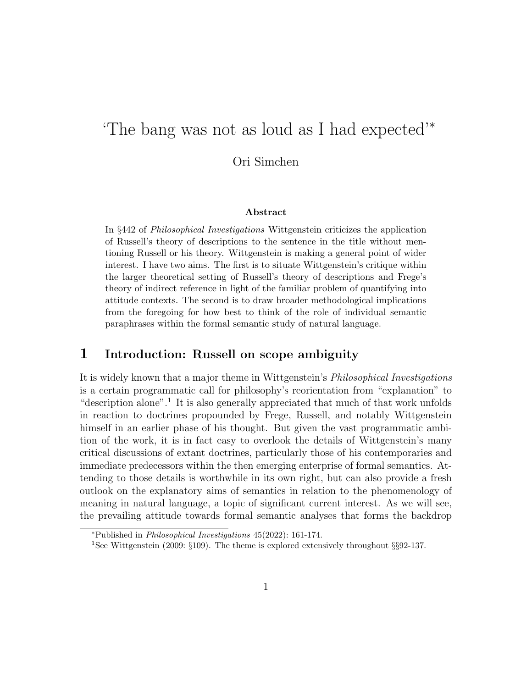# 'The bang was not as loud as I had expected'<sup>∗</sup>

Ori Simchen

#### Abstract

In §442 of Philosophical Investigations Wittgenstein criticizes the application of Russell's theory of descriptions to the sentence in the title without mentioning Russell or his theory. Wittgenstein is making a general point of wider interest. I have two aims. The first is to situate Wittgenstein's critique within the larger theoretical setting of Russell's theory of descriptions and Frege's theory of indirect reference in light of the familiar problem of quantifying into attitude contexts. The second is to draw broader methodological implications from the foregoing for how best to think of the role of individual semantic paraphrases within the formal semantic study of natural language.

#### 1 Introduction: Russell on scope ambiguity

It is widely known that a major theme in Wittgenstein's Philosophical Investigations is a certain programmatic call for philosophy's reorientation from "explanation" to "description alone".<sup>1</sup> It is also generally appreciated that much of that work unfolds in reaction to doctrines propounded by Frege, Russell, and notably Wittgenstein himself in an earlier phase of his thought. But given the vast programmatic ambition of the work, it is in fact easy to overlook the details of Wittgenstein's many critical discussions of extant doctrines, particularly those of his contemporaries and immediate predecessors within the then emerging enterprise of formal semantics. Attending to those details is worthwhile in its own right, but can also provide a fresh outlook on the explanatory aims of semantics in relation to the phenomenology of meaning in natural language, a topic of significant current interest. As we will see, the prevailing attitude towards formal semantic analyses that forms the backdrop

<sup>∗</sup>Published in Philosophical Investigations 45(2022): 161-174.

<sup>1</sup>See Wittgenstein (2009: §109). The theme is explored extensively throughout §§92-137.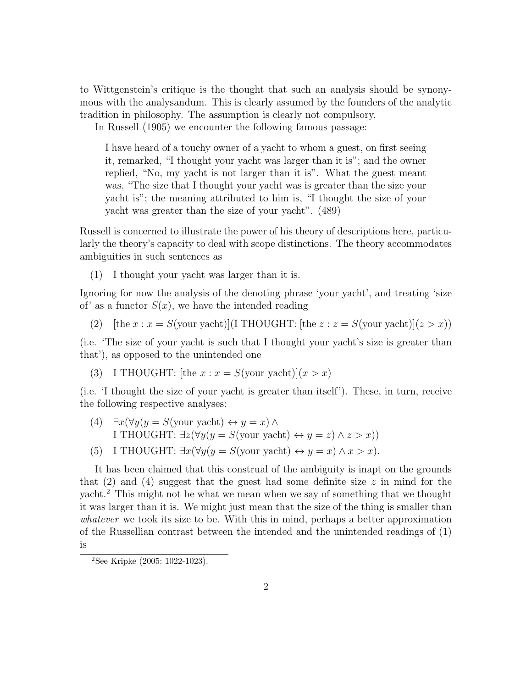to Wittgenstein's critique is the thought that such an analysis should be synonymous with the analysandum. This is clearly assumed by the founders of the analytic tradition in philosophy. The assumption is clearly not compulsory.

In Russell (1905) we encounter the following famous passage:

I have heard of a touchy owner of a yacht to whom a guest, on first seeing it, remarked, "I thought your yacht was larger than it is"; and the owner replied, "No, my yacht is not larger than it is". What the guest meant was, "The size that I thought your yacht was is greater than the size your yacht is"; the meaning attributed to him is, "I thought the size of your yacht was greater than the size of your yacht". (489)

Russell is concerned to illustrate the power of his theory of descriptions here, particularly the theory's capacity to deal with scope distinctions. The theory accommodates ambiguities in such sentences as

(1) I thought your yacht was larger than it is.

Ignoring for now the analysis of the denoting phrase 'your yacht', and treating 'size of' as a functor  $S(x)$ , we have the intended reading

(2) [the  $x : x = S$ (your yacht)](I THOUGHT: [the  $z : z = S$ (your yacht)]( $z > x$ ))

(i.e. 'The size of your yacht is such that I thought your yacht's size is greater than that'), as opposed to the unintended one

(3) I THOUGHT: [the  $x : x = S$ (your yacht)] $(x > x)$ 

(i.e. 'I thought the size of your yacht is greater than itself'). These, in turn, receive the following respective analyses:

- (4)  $\exists x (\forall y (y = S(\text{your yacht}) \leftrightarrow y = x) \land$ I THOUGHT:  $\exists z (\forall y (y = S(\text{your yacht}) \leftrightarrow y = z) \land z > x))$
- (5) I THOUGHT:  $\exists x (\forall y (y = S(\text{your yacht}) \leftrightarrow y = x) \land x > x).$

It has been claimed that this construal of the ambiguity is inapt on the grounds that  $(2)$  and  $(4)$  suggest that the guest had some definite size z in mind for the yacht.<sup>2</sup> This might not be what we mean when we say of something that we thought it was larger than it is. We might just mean that the size of the thing is smaller than whatever we took its size to be. With this in mind, perhaps a better approximation of the Russellian contrast between the intended and the unintended readings of (1) is

<sup>2</sup>See Kripke (2005: 1022-1023).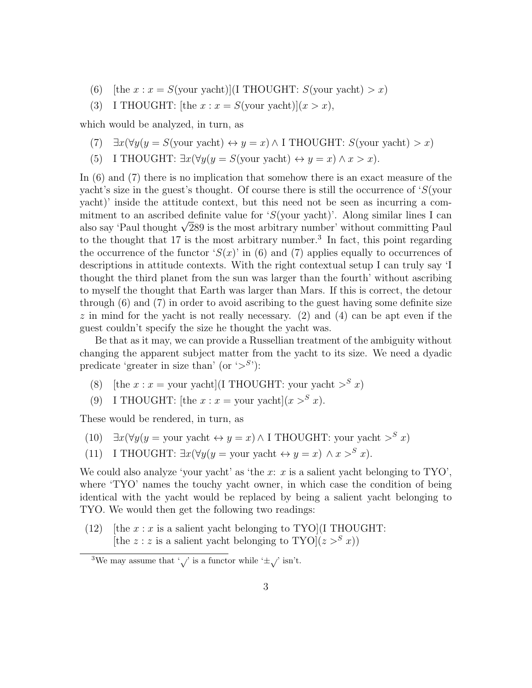- (6) [the  $x : x = S$ (your yacht)](I THOUGHT:  $S$ (your yacht) > x)
- (3) I THOUGHT: [the  $x : x = S$ (your yacht)] $(x > x)$ ,

which would be analyzed, in turn, as

- (7)  $\exists x (\forall y (y = S(\text{your yacht}) \leftrightarrow y = x) \land I \text{THOUGHT: } S(\text{your yacht}) > x)$
- (5) I THOUGHT:  $\exists x (\forall y (y = S(\text{your yacht}) \leftrightarrow y = x) \land x > x).$

In (6) and (7) there is no implication that somehow there is an exact measure of the yacht's size in the guest's thought. Of course there is still the occurrence of 'S(your yacht)' inside the attitude context, but this need not be seen as incurring a commitment to an ascribed definite value for 'S(your yacht)'. Along similar lines I can mitment to an ascribed definite value for 'S(your yacht)'. Along similar lines I can<br>also say 'Paul thought √289 is the most arbitrary number' without committing Paul to the thought that 17 is the most arbitrary number.<sup>3</sup> In fact, this point regarding the occurrence of the functor ' $S(x)$ ' in (6) and (7) applies equally to occurrences of descriptions in attitude contexts. With the right contextual setup I can truly say 'I thought the third planet from the sun was larger than the fourth' without ascribing to myself the thought that Earth was larger than Mars. If this is correct, the detour through (6) and (7) in order to avoid ascribing to the guest having some definite size  $z$  in mind for the yacht is not really necessary. (2) and (4) can be apt even if the guest couldn't specify the size he thought the yacht was.

Be that as it may, we can provide a Russellian treatment of the ambiguity without changing the apparent subject matter from the yacht to its size. We need a dyadic predicate 'greater in size than' (or  $\langle S^s \rangle$ ):

- (8) [the  $x : x =$  your yacht](I THOUGHT: your yacht  $>^{S} x$ )
- (9) I THOUGHT: [the  $x : x =$  your yacht] $(x >^S x)$ .

These would be rendered, in turn, as

- (10)  $\exists x (\forall y (y = your yacht \leftrightarrow y = x) \land I THOUGHT: your yacht >^S x)$
- (11) I THOUGHT:  $\exists x (\forall y (y = your \text{ }\text{yacht} \leftrightarrow y = x) \land x >^S x).$

We could also analyze 'your yacht' as 'the  $x: x$  is a salient yacht belonging to  $TYO'$ , where 'TYO' names the touchy yacht owner, in which case the condition of being identical with the yacht would be replaced by being a salient yacht belonging to TYO. We would then get the following two readings:

(12) [the  $x : x$  is a salient yacht belonging to TYO](I THOUGHT: [the  $z : z$  is a salient yacht belonging to TYO] $(z > S x)$ ]

<sup>&</sup>lt;sup>3</sup>We may assume that ',/' is a functor while ' $\pm$ ,/' isn't.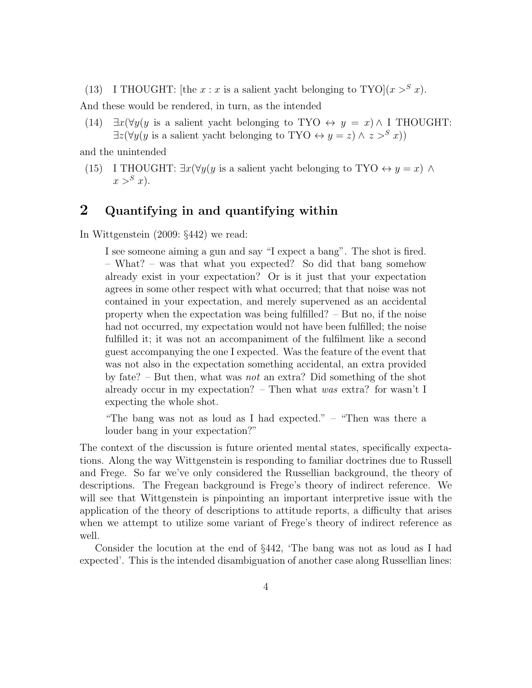(13) I THOUGHT: [the  $x : x$  is a salient yacht belonging to TYO] $(x >^S x)$ .

And these would be rendered, in turn, as the intended

(14)  $\exists x (\forall y (y \text{ is a salient yacht belonging to TYO} \leftrightarrow y = x) \land I THOUGHT$ :  $\exists z (\forall y (y \text{ is a salient yacht belonging to TYO } \leftrightarrow y = z) \land z >^S x))$ 

and the unintended

(15) I THOUGHT:  $\exists x (\forall y (y \text{ is a salient yacht belonging to TYO } \leftrightarrow y = x) \land$  $x >^S x$ ).

### 2 Quantifying in and quantifying within

In Wittgenstein (2009: §442) we read:

I see someone aiming a gun and say "I expect a bang". The shot is fired. – What? – was that what you expected? So did that bang somehow already exist in your expectation? Or is it just that your expectation agrees in some other respect with what occurred; that that noise was not contained in your expectation, and merely supervened as an accidental property when the expectation was being fulfilled? – But no, if the noise had not occurred, my expectation would not have been fulfilled; the noise fulfilled it; it was not an accompaniment of the fulfilment like a second guest accompanying the one I expected. Was the feature of the event that was not also in the expectation something accidental, an extra provided by fate? – But then, what was not an extra? Did something of the shot already occur in my expectation? – Then what was extra? for wasn't I expecting the whole shot.

"The bang was not as loud as I had expected."  $-$  "Then was there a louder bang in your expectation?"

The context of the discussion is future oriented mental states, specifically expectations. Along the way Wittgenstein is responding to familiar doctrines due to Russell and Frege. So far we've only considered the Russellian background, the theory of descriptions. The Fregean background is Frege's theory of indirect reference. We will see that Wittgenstein is pinpointing an important interpretive issue with the application of the theory of descriptions to attitude reports, a difficulty that arises when we attempt to utilize some variant of Frege's theory of indirect reference as well.

Consider the locution at the end of §442, 'The bang was not as loud as I had expected'. This is the intended disambiguation of another case along Russellian lines: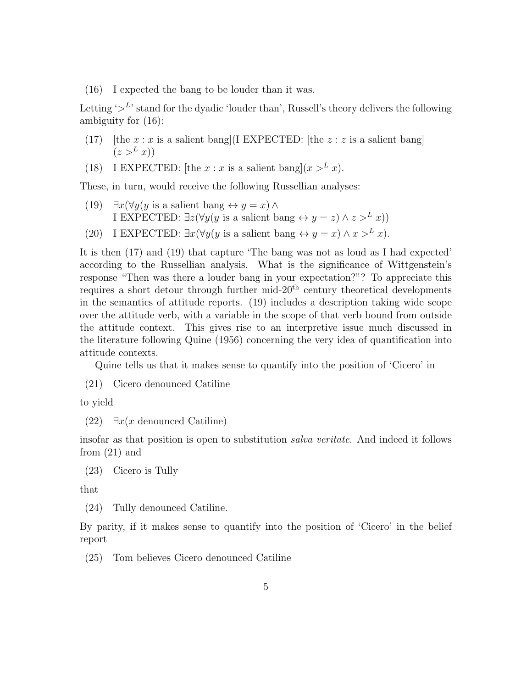(16) I expected the bang to be louder than it was.

Letting  $\geq^L$  stand for the dyadic 'louder than', Russell's theory delivers the following ambiguity for (16):

- (17) [the  $x : x$  is a salient bang](I EXPECTED: [the  $z : z$  is a salient bang]  $(z >^L x))$
- (18) I EXPECTED: [the  $x : x$  is a salient bang] $(x > L x)$ .

These, in turn, would receive the following Russellian analyses:

- (19)  $\exists x (\forall y (y \text{ is a salient bang} \leftrightarrow y = x) \land$ I EXPECTED:  $\exists z (\forall y (y \text{ is a salient bang} \leftrightarrow y = z) \land z >^L x))$
- (20) I EXPECTED:  $\exists x (\forall y (y \text{ is a salient bang} \leftrightarrow y = x) \land x >^L x).$

It is then (17) and (19) that capture 'The bang was not as loud as I had expected' according to the Russellian analysis. What is the significance of Wittgenstein's response "Then was there a louder bang in your expectation?"? To appreciate this requires a short detour through further mid- $20<sup>th</sup>$  century theoretical developments in the semantics of attitude reports. (19) includes a description taking wide scope over the attitude verb, with a variable in the scope of that verb bound from outside the attitude context. This gives rise to an interpretive issue much discussed in the literature following Quine (1956) concerning the very idea of quantification into attitude contexts.

Quine tells us that it makes sense to quantify into the position of 'Cicero' in

(21) Cicero denounced Catiline

to yield

(22)  $\exists x(x \text{ denounced Catiline})$ 

insofar as that position is open to substitution salva veritate. And indeed it follows from (21) and

(23) Cicero is Tully

that

(24) Tully denounced Catiline.

By parity, if it makes sense to quantify into the position of 'Cicero' in the belief report

(25) Tom believes Cicero denounced Catiline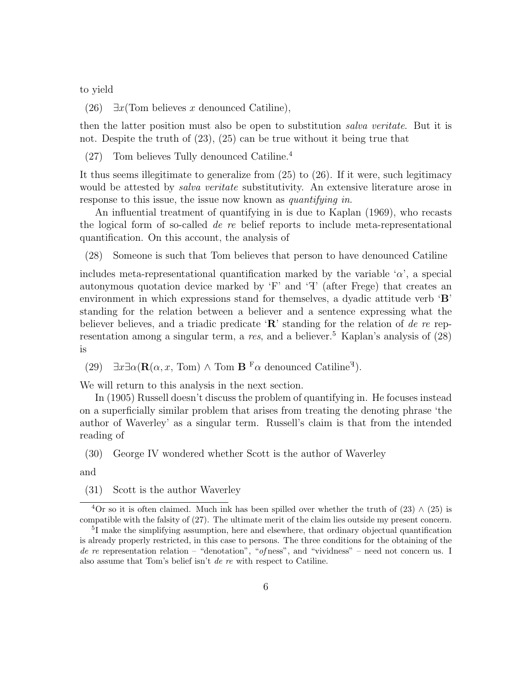to yield

(26)  $\exists x$ (Tom believes x denounced Catiline),

then the latter position must also be open to substitution salva veritate. But it is not. Despite the truth of (23), (25) can be true without it being true that

(27) Tom believes Tully denounced Catiline.<sup>4</sup>

It thus seems illegitimate to generalize from (25) to (26). If it were, such legitimacy would be attested by *salva veritate* substitutivity. An extensive literature arose in response to this issue, the issue now known as *quantifying in*.

An influential treatment of quantifying in is due to Kaplan (1969), who recasts the logical form of so-called de re belief reports to include meta-representational quantification. On this account, the analysis of

(28) Someone is such that Tom believes that person to have denounced Catiline

includes meta-representational quantification marked by the variable ' $\alpha$ ', a special autonymous quotation device marked by  $F'$  and  $F'$  (after Frege) that creates an environment in which expressions stand for themselves, a dyadic attitude verb 'B' standing for the relation between a believer and a sentence expressing what the believer believes, and a triadic predicate  $\mathbf{R}'$  standing for the relation of de re representation among a singular term, a res, and a believer.<sup>5</sup> Kaplan's analysis of  $(28)$ is

(29)  $\exists x \exists \alpha (\mathbf{R}(\alpha, x, \text{Tom}) \wedge \text{Tom } \mathbf{B}^{\text{F}} \alpha \text{ denounced Catiline}^{\text{T}}).$ 

We will return to this analysis in the next section.

In (1905) Russell doesn't discuss the problem of quantifying in. He focuses instead on a superficially similar problem that arises from treating the denoting phrase 'the author of Waverley' as a singular term. Russell's claim is that from the intended reading of

(30) George IV wondered whether Scott is the author of Waverley

and

(31) Scott is the author Waverley

 $4$ Or so it is often claimed. Much ink has been spilled over whether the truth of (23)  $\wedge$  (25) is compatible with the falsity of (27). The ultimate merit of the claim lies outside my present concern.

<sup>5</sup> I make the simplifying assumption, here and elsewhere, that ordinary objectual quantification is already properly restricted, in this case to persons. The three conditions for the obtaining of the de re representation relation – "denotation", "of ness", and "vividness" – need not concern us. I also assume that Tom's belief isn't de re with respect to Catiline.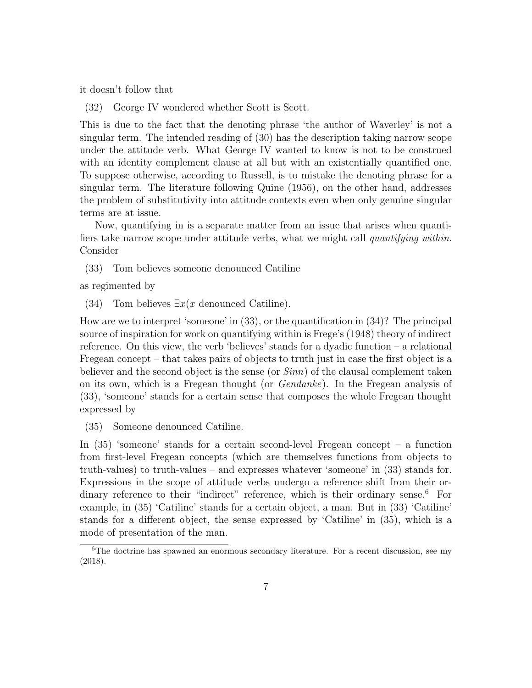it doesn't follow that

(32) George IV wondered whether Scott is Scott.

This is due to the fact that the denoting phrase 'the author of Waverley' is not a singular term. The intended reading of (30) has the description taking narrow scope under the attitude verb. What George IV wanted to know is not to be construed with an identity complement clause at all but with an existentially quantified one. To suppose otherwise, according to Russell, is to mistake the denoting phrase for a singular term. The literature following Quine (1956), on the other hand, addresses the problem of substitutivity into attitude contexts even when only genuine singular terms are at issue.

Now, quantifying in is a separate matter from an issue that arises when quantifiers take narrow scope under attitude verbs, what we might call quantifying within. Consider

(33) Tom believes someone denounced Catiline

as regimented by

(34) Tom believes  $\exists x(x \text{ denounced Catiline}).$ 

How are we to interpret 'someone' in (33), or the quantification in (34)? The principal source of inspiration for work on quantifying within is Frege's (1948) theory of indirect reference. On this view, the verb 'believes' stands for a dyadic function – a relational Fregean concept – that takes pairs of objects to truth just in case the first object is a believer and the second object is the sense (or  $Sinn$ ) of the clausal complement taken on its own, which is a Fregean thought (or Gendanke). In the Fregean analysis of (33), 'someone' stands for a certain sense that composes the whole Fregean thought expressed by

(35) Someone denounced Catiline.

In (35) 'someone' stands for a certain second-level Fregean concept – a function from first-level Fregean concepts (which are themselves functions from objects to truth-values) to truth-values – and expresses whatever 'someone' in (33) stands for. Expressions in the scope of attitude verbs undergo a reference shift from their ordinary reference to their "indirect" reference, which is their ordinary sense.<sup>6</sup> For example, in (35) 'Catiline' stands for a certain object, a man. But in (33) 'Catiline' stands for a different object, the sense expressed by 'Catiline' in (35), which is a mode of presentation of the man.

<sup>&</sup>lt;sup>6</sup>The doctrine has spawned an enormous secondary literature. For a recent discussion, see my (2018).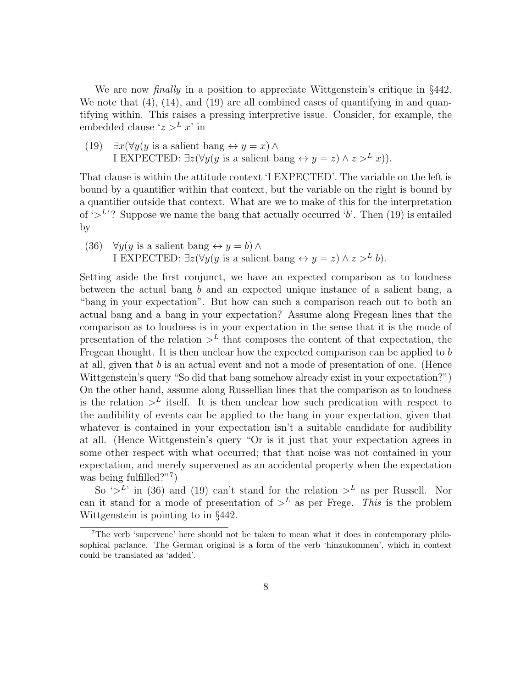We are now *finally* in a position to appreciate Wittgenstein's critique in §442. We note that  $(4)$ ,  $(14)$ , and  $(19)$  are all combined cases of quantifying in and quantifying within. This raises a pressing interpretive issue. Consider, for example, the embedded clause ' $z > L x'$  in

(19)  $\exists x (\forall y (y \text{ is a salient bang} \leftrightarrow y = x) \land$ I EXPECTED:  $\exists z (\forall y (y \text{ is a salient bang} \leftrightarrow y = z) \land z >^L x)).$ 

That clause is within the attitude context 'I EXPECTED'. The variable on the left is bound by a quantifier within that context, but the variable on the right is bound by a quantifier outside that context. What are we to make of this for the interpretation of  $\mathcal{L}^L$ ? Suppose we name the bang that actually occurred  $\mathcal{L}$ . Then (19) is entailed by

(36)  $\forall y (y \text{ is a salient bang} \leftrightarrow y = b) \land$ I EXPECTED:  $\exists z (\forall y (y \text{ is a salient bang} \leftrightarrow y = z) \land z >^L b).$ 

Setting aside the first conjunct, we have an expected comparison as to loudness between the actual bang b and an expected unique instance of a salient bang, a "bang in your expectation". But how can such a comparison reach out to both an actual bang and a bang in your expectation? Assume along Fregean lines that the comparison as to loudness is in your expectation in the sense that it is the mode of presentation of the relation  $\geq^L$  that composes the content of that expectation, the Fregean thought. It is then unclear how the expected comparison can be applied to b at all, given that b is an actual event and not a mode of presentation of one. (Hence Wittgenstein's query "So did that bang somehow already exist in your expectation?") On the other hand, assume along Russellian lines that the comparison as to loudness is the relation  $\geq^L$  itself. It is then unclear how such predication with respect to the audibility of events can be applied to the bang in your expectation, given that whatever is contained in your expectation isn't a suitable candidate for audibility at all. (Hence Wittgenstein's query "Or is it just that your expectation agrees in some other respect with what occurred; that that noise was not contained in your expectation, and merely supervened as an accidental property when the expectation was being fulfilled?"<sup>7</sup>)

So  $\sim^L$  in (36) and (19) can't stand for the relation  $\sim^L$  as per Russell. Nor can it stand for a mode of presentation of  $\geq^L$  as per Frege. This is the problem Wittgenstein is pointing to in §442.

<sup>&</sup>lt;sup>7</sup>The verb 'supervene' here should not be taken to mean what it does in contemporary philosophical parlance. The German original is a form of the verb 'hinzukommen', which in context could be translated as 'added'.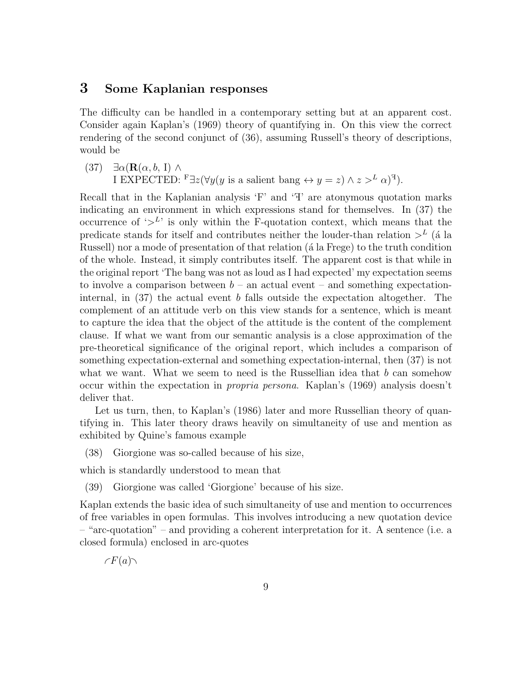#### 3 Some Kaplanian responses

The difficulty can be handled in a contemporary setting but at an apparent cost. Consider again Kaplan's (1969) theory of quantifying in. On this view the correct rendering of the second conjunct of (36), assuming Russell's theory of descriptions, would be

(37)  $\exists \alpha (\mathbf{R}(\alpha, b, I) \wedge$ I EXPECTED:  $F \exists z (\forall y (y \text{ is a salient bang} \leftrightarrow y = z) \land z >^L \alpha)^T$ .

Recall that in the Kaplanian analysis  $F'$  and  $T'$  are atonymous quotation marks indicating an environment in which expressions stand for themselves. In (37) the occurrence of  $\mathcal{L}^L$  is only within the F-quotation context, which means that the predicate stands for itself and contributes neither the louder-than relation  $>^{L}$  (a la Russell) nor a mode of presentation of that relation (a la Frege) to the truth condition of the whole. Instead, it simply contributes itself. The apparent cost is that while in the original report 'The bang was not as loud as I had expected' my expectation seems to involve a comparison between  $b -$ an actual event – and something expectationinternal, in  $(37)$  the actual event b falls outside the expectation altogether. The complement of an attitude verb on this view stands for a sentence, which is meant to capture the idea that the object of the attitude is the content of the complement clause. If what we want from our semantic analysis is a close approximation of the pre-theoretical significance of the original report, which includes a comparison of something expectation-external and something expectation-internal, then (37) is not what we want. What we seem to need is the Russellian idea that  $b$  can somehow occur within the expectation in propria persona. Kaplan's (1969) analysis doesn't deliver that.

Let us turn, then, to Kaplan's (1986) later and more Russellian theory of quantifying in. This later theory draws heavily on simultaneity of use and mention as exhibited by Quine's famous example

(38) Giorgione was so-called because of his size,

which is standardly understood to mean that

(39) Giorgione was called 'Giorgione' because of his size.

Kaplan extends the basic idea of such simultaneity of use and mention to occurrences of free variables in open formulas. This involves introducing a new quotation device – "arc-quotation" – and providing a coherent interpretation for it. A sentence (i.e. a closed formula) enclosed in arc-quotes

 $\subset F(a)$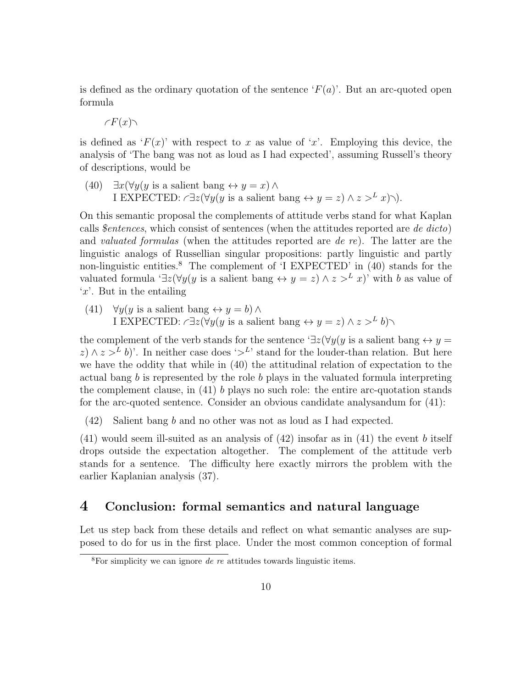is defined as the ordinary quotation of the sentence  $F(a)$ . But an arc-quoted open formula

$$
\mathcal{F}(x)\setminus
$$

is defined as  $F(x)$  with respect to x as value of 'x'. Employing this device, the analysis of 'The bang was not as loud as I had expected', assuming Russell's theory of descriptions, would be

(40)  $\exists x (\forall y (y \text{ is a salient bang} \leftrightarrow y = x) \land$ I EXPECTED:  $\angle \exists z (\forall y (y \text{ is a salient bang} \leftrightarrow y = z) \land z >^L x) \land$ .

On this semantic proposal the complements of attitude verbs stand for what Kaplan calls *\$entences*, which consist of sentences (when the attitudes reported are *de dicto*) and valuated formulas (when the attitudes reported are de re). The latter are the linguistic analogs of Russellian singular propositions: partly linguistic and partly non-linguistic entities.<sup>8</sup> The complement of 'I EXPECTED' in  $(40)$  stands for the valuated formula  $\exists z(\forall y(y \text{ is a salient bang} \leftrightarrow y = z) \land z >^L x$ )' with b as value of 'x'. But in the entailing

(41)  $\forall y (y \text{ is a salient bang} \leftrightarrow y = b) \land$ I EXPECTED:  $\subset \exists z (\forall y (y \text{ is a salient bang} \leftrightarrow y = z) \land z >^L b)$ 

the complement of the verb stands for the sentence ' $\exists z(\forall y(y \text{ is a salient bang} \leftrightarrow y =$  $(z) \wedge z >^L b$ )'. In neither case does ' $\geq^L$ ' stand for the louder-than relation. But here we have the oddity that while in (40) the attitudinal relation of expectation to the actual bang b is represented by the role b plays in the valuated formula interpreting the complement clause, in  $(41)$  b plays no such role: the entire arc-quotation stands for the arc-quoted sentence. Consider an obvious candidate analysandum for (41):

(42) Salient bang b and no other was not as loud as I had expected.

 $(41)$  would seem ill-suited as an analysis of  $(42)$  insofar as in  $(41)$  the event b itself drops outside the expectation altogether. The complement of the attitude verb stands for a sentence. The difficulty here exactly mirrors the problem with the earlier Kaplanian analysis (37).

#### 4 Conclusion: formal semantics and natural language

Let us step back from these details and reflect on what semantic analyses are supposed to do for us in the first place. Under the most common conception of formal

 ${}^{8}$ For simplicity we can ignore *de re* attitudes towards linguistic items.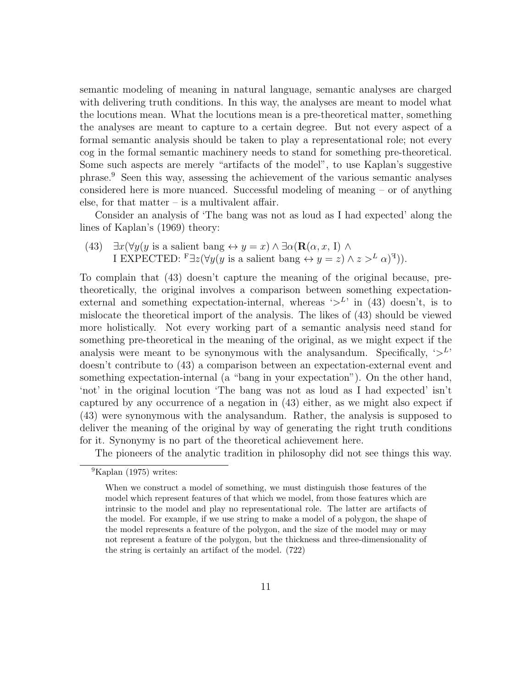semantic modeling of meaning in natural language, semantic analyses are charged with delivering truth conditions. In this way, the analyses are meant to model what the locutions mean. What the locutions mean is a pre-theoretical matter, something the analyses are meant to capture to a certain degree. But not every aspect of a formal semantic analysis should be taken to play a representational role; not every cog in the formal semantic machinery needs to stand for something pre-theoretical. Some such aspects are merely "artifacts of the model", to use Kaplan's suggestive phrase.<sup>9</sup> Seen this way, assessing the achievement of the various semantic analyses considered here is more nuanced. Successful modeling of meaning – or of anything else, for that matter  $-$  is a multivalent affair.

Consider an analysis of 'The bang was not as loud as I had expected' along the lines of Kaplan's (1969) theory:

(43)  $\exists x (\forall y (y \text{ is a salient bang} \leftrightarrow y = x) \land \exists \alpha (\mathbf{R}(\alpha, x, I) \land \exists \alpha \alpha)$ I EXPECTED:  $\overline{\text{F}} \exists z (\forall y (y \text{ is a salient bang} \leftrightarrow y = z) \land z >^L \alpha)^{T})$ .

To complain that (43) doesn't capture the meaning of the original because, pretheoretically, the original involves a comparison between something expectationexternal and something expectation-internal, whereas  $\zeta^{L}$  in (43) doesn't, is to mislocate the theoretical import of the analysis. The likes of (43) should be viewed more holistically. Not every working part of a semantic analysis need stand for something pre-theoretical in the meaning of the original, as we might expect if the analysis were meant to be synonymous with the analysandum. Specifically,  $\langle \rangle^{L}$ doesn't contribute to (43) a comparison between an expectation-external event and something expectation-internal (a "bang in your expectation"). On the other hand, 'not' in the original locution 'The bang was not as loud as I had expected' isn't captured by any occurrence of a negation in (43) either, as we might also expect if (43) were synonymous with the analysandum. Rather, the analysis is supposed to deliver the meaning of the original by way of generating the right truth conditions for it. Synonymy is no part of the theoretical achievement here.

The pioneers of the analytic tradition in philosophy did not see things this way.

 ${}^{9}$ Kaplan (1975) writes:

When we construct a model of something, we must distinguish those features of the model which represent features of that which we model, from those features which are intrinsic to the model and play no representational role. The latter are artifacts of the model. For example, if we use string to make a model of a polygon, the shape of the model represents a feature of the polygon, and the size of the model may or may not represent a feature of the polygon, but the thickness and three-dimensionality of the string is certainly an artifact of the model. (722)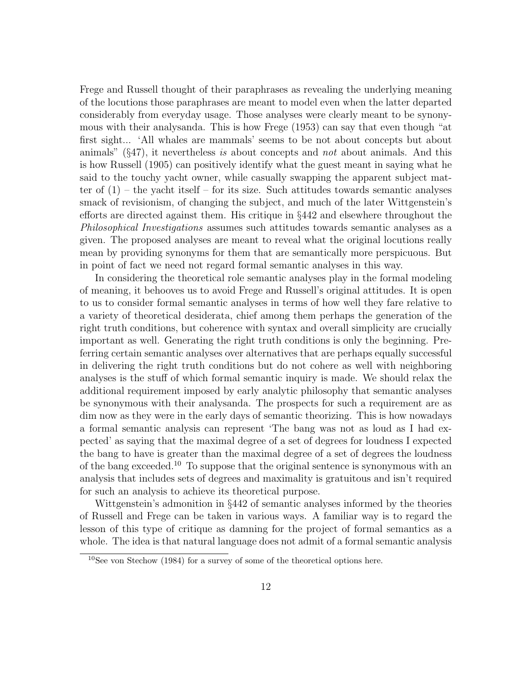Frege and Russell thought of their paraphrases as revealing the underlying meaning of the locutions those paraphrases are meant to model even when the latter departed considerably from everyday usage. Those analyses were clearly meant to be synonymous with their analysanda. This is how Frege (1953) can say that even though "at first sight... 'All whales are mammals' seems to be not about concepts but about animals" (§47), it nevertheless is about concepts and not about animals. And this is how Russell (1905) can positively identify what the guest meant in saying what he said to the touchy yacht owner, while casually swapping the apparent subject matter of  $(1)$  – the yacht itself – for its size. Such attitudes towards semantic analyses smack of revisionism, of changing the subject, and much of the later Wittgenstein's efforts are directed against them. His critique in §442 and elsewhere throughout the Philosophical Investigations assumes such attitudes towards semantic analyses as a given. The proposed analyses are meant to reveal what the original locutions really mean by providing synonyms for them that are semantically more perspicuous. But in point of fact we need not regard formal semantic analyses in this way.

In considering the theoretical role semantic analyses play in the formal modeling of meaning, it behooves us to avoid Frege and Russell's original attitudes. It is open to us to consider formal semantic analyses in terms of how well they fare relative to a variety of theoretical desiderata, chief among them perhaps the generation of the right truth conditions, but coherence with syntax and overall simplicity are crucially important as well. Generating the right truth conditions is only the beginning. Preferring certain semantic analyses over alternatives that are perhaps equally successful in delivering the right truth conditions but do not cohere as well with neighboring analyses is the stuff of which formal semantic inquiry is made. We should relax the additional requirement imposed by early analytic philosophy that semantic analyses be synonymous with their analysanda. The prospects for such a requirement are as dim now as they were in the early days of semantic theorizing. This is how nowadays a formal semantic analysis can represent 'The bang was not as loud as I had expected' as saying that the maximal degree of a set of degrees for loudness I expected the bang to have is greater than the maximal degree of a set of degrees the loudness of the bang exceeded.<sup>10</sup> To suppose that the original sentence is synonymous with an analysis that includes sets of degrees and maximality is gratuitous and isn't required for such an analysis to achieve its theoretical purpose.

Wittgenstein's admonition in §442 of semantic analyses informed by the theories of Russell and Frege can be taken in various ways. A familiar way is to regard the lesson of this type of critique as damning for the project of formal semantics as a whole. The idea is that natural language does not admit of a formal semantic analysis

<sup>10</sup>See von Stechow (1984) for a survey of some of the theoretical options here.